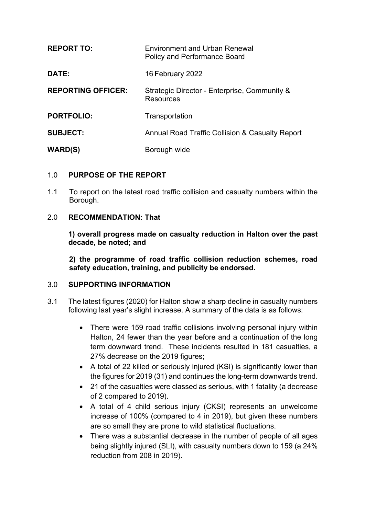| <b>REPORT TO:</b>         | <b>Environment and Urban Renewal</b><br>Policy and Performance Board |
|---------------------------|----------------------------------------------------------------------|
| DATE:                     | 16 February 2022                                                     |
| <b>REPORTING OFFICER:</b> | Strategic Director - Enterprise, Community &<br>Resources            |
| <b>PORTFOLIO:</b>         | Transportation                                                       |
| <b>SUBJECT:</b>           | <b>Annual Road Traffic Collision &amp; Casualty Report</b>           |
| <b>WARD(S)</b>            | Borough wide                                                         |

#### 1.0 **PURPOSE OF THE REPORT**

1.1 To report on the latest road traffic collision and casualty numbers within the Borough.

#### 2.0 **RECOMMENDATION: That**

**1) overall progress made on casualty reduction in Halton over the past decade, be noted; and**

**2) the programme of road traffic collision reduction schemes, road safety education, training, and publicity be endorsed.**

#### 3.0 **SUPPORTING INFORMATION**

- 3.1 The latest figures (2020) for Halton show a sharp decline in casualty numbers following last year's slight increase. A summary of the data is as follows:
	- There were 159 road traffic collisions involving personal injury within Halton, 24 fewer than the year before and a continuation of the long term downward trend. These incidents resulted in 181 casualties, a 27% decrease on the 2019 figures;
	- A total of 22 killed or seriously injured (KSI) is significantly lower than the figures for 2019 (31) and continues the long-term downwards trend.
	- 21 of the casualties were classed as serious, with 1 fatality (a decrease of 2 compared to 2019).
	- A total of 4 child serious injury (CKSI) represents an unwelcome increase of 100% (compared to 4 in 2019), but given these numbers are so small they are prone to wild statistical fluctuations.
	- There was a substantial decrease in the number of people of all ages being slightly injured (SLI), with casualty numbers down to 159 (a 24% reduction from 208 in 2019).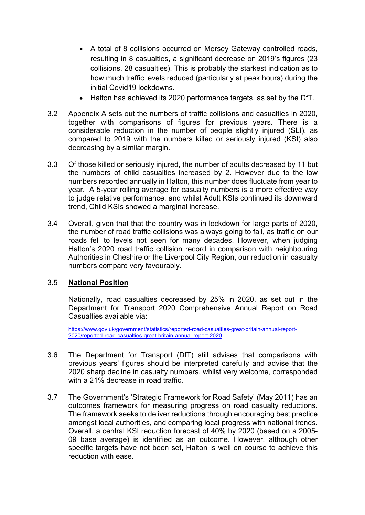- A total of 8 collisions occurred on Mersey Gateway controlled roads, resulting in 8 casualties, a significant decrease on 2019's figures (23 collisions, 28 casualties). This is probably the starkest indication as to how much traffic levels reduced (particularly at peak hours) during the initial Covid19 lockdowns.
- Halton has achieved its 2020 performance targets, as set by the DfT.
- 3.2 Appendix A sets out the numbers of traffic collisions and casualties in 2020, together with comparisons of figures for previous years. There is a considerable reduction in the number of people slightly injured (SLI), as compared to 2019 with the numbers killed or seriously injured (KSI) also decreasing by a similar margin.
- 3.3 Of those killed or seriously injured, the number of adults decreased by 11 but the numbers of child casualties increased by 2. However due to the low numbers recorded annually in Halton, this number does fluctuate from year to year. A 5-year rolling average for casualty numbers is a more effective way to judge relative performance, and whilst Adult KSIs continued its downward trend, Child KSIs showed a marginal increase.
- 3.4 Overall, given that that the country was in lockdown for large parts of 2020, the number of road traffic collisions was always going to fall, as traffic on our roads fell to levels not seen for many decades. However, when judging Halton's 2020 road traffic collision record in comparison with neighbouring Authorities in Cheshire or the Liverpool City Region, our reduction in casualty numbers compare very favourably.

# 3.5 **National Position**

Nationally, road casualties decreased by 25% in 2020, as set out in the Department for Transport 2020 Comprehensive Annual Report on Road Casualties available via:

[https://www.gov.uk/government/statistics/reported-road-casualties-great-britain-annual-report-](https://www.gov.uk/government/statistics/reported-road-casualties-great-britain-annual-report-2020/reported-road-casualties-great-britain-annual-report-2020)[2020/reported-road-casualties-great-britain-annual-report-2020](https://www.gov.uk/government/statistics/reported-road-casualties-great-britain-annual-report-2020/reported-road-casualties-great-britain-annual-report-2020)

- 3.6 The Department for Transport (DfT) still advises that comparisons with previous years' figures should be interpreted carefully and advise that the 2020 sharp decline in casualty numbers, whilst very welcome, corresponded with a 21% decrease in road traffic.
- 3.7 The Government's 'Strategic Framework for Road Safety' (May 2011) has an outcomes framework for measuring progress on road casualty reductions. The framework seeks to deliver reductions through encouraging best practice amongst local authorities, and comparing local progress with national trends. Overall, a central KSI reduction forecast of 40% by 2020 (based on a 2005- 09 base average) is identified as an outcome. However, although other specific targets have not been set, Halton is well on course to achieve this reduction with ease.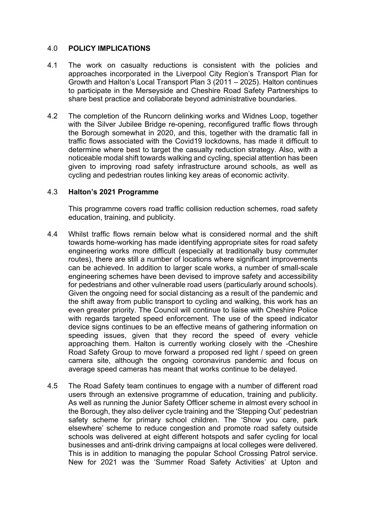#### 4.0 **POLICY IMPLICATIONS**

- 4.1 The work on casualty reductions is consistent with the policies and approaches incorporated in the Liverpool City Region's Transport Plan for Growth and Halton's Local Transport Plan 3 (2011 – 2025). Halton continues to participate in the Merseyside and Cheshire Road Safety Partnerships to share best practice and collaborate beyond administrative boundaries.
- 4.2 The completion of the Runcorn delinking works and Widnes Loop, together with the Silver Jubilee Bridge re-opening, reconfigured traffic flows through the Borough somewhat in 2020, and this, together with the dramatic fall in traffic flows associated with the Covid19 lockdowns, has made it difficult to determine where best to target the casualty reduction strategy. Also, with a noticeable modal shift towards walking and cycling, special attention has been given to improving road safety infrastructure around schools, as well as cycling and pedestrian routes linking key areas of economic activity.

#### 4.3 **Halton's 2021 Programme**

This programme covers road traffic collision reduction schemes, road safety education, training, and publicity.

- 4.4 Whilst traffic flows remain below what is considered normal and the shift towards home-working has made identifying appropriate sites for road safety engineering works more difficult (especially at traditionally busy commuter routes), there are still a number of locations where significant improvements can be achieved. In addition to larger scale works, a number of small-scale engineering schemes have been devised to improve safety and accessibility for pedestrians and other vulnerable road users (particularly around schools). Given the ongoing need for social distancing as a result of the pandemic and the shift away from public transport to cycling and walking, this work has an even greater priority. The Council will continue to liaise with Cheshire Police with regards targeted speed enforcement. The use of the speed indicator device signs continues to be an effective means of gathering information on speeding issues, given that they record the speed of every vehicle approaching them. Halton is currently working closely with the -Cheshire Road Safety Group to move forward a proposed red light / speed on green camera site, although the ongoing coronavirus pandemic and focus on average speed cameras has meant that works continue to be delayed.
- 4.5 The Road Safety team continues to engage with a number of different road users through an extensive programme of education, training and publicity. As well as running the Junior Safety Officer scheme in almost every school in the Borough, they also deliver cycle training and the 'Stepping Out' pedestrian safety scheme for primary school children. The 'Show you care, park elsewhere' scheme to reduce congestion and promote road safety outside schools was delivered at eight different hotspots and safer cycling for local businesses and anti-drink driving campaigns at local colleges were delivered. This is in addition to managing the popular School Crossing Patrol service. New for 2021 was the 'Summer Road Safety Activities' at Upton and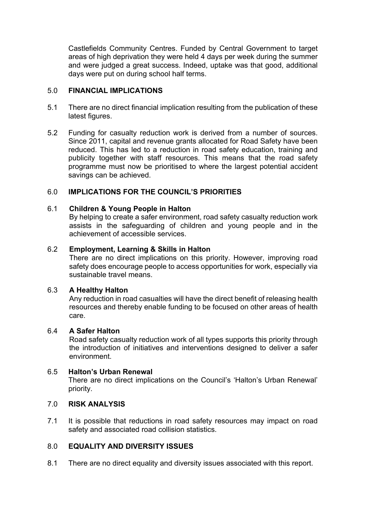Castlefields Community Centres. Funded by Central Government to target areas of high deprivation they were held 4 days per week during the summer and were judged a great success. Indeed, uptake was that good, additional days were put on during school half terms.

#### 5.0 **FINANCIAL IMPLICATIONS**

- 5.1 There are no direct financial implication resulting from the publication of these latest figures.
- 5.2 Funding for casualty reduction work is derived from a number of sources. Since 2011, capital and revenue grants allocated for Road Safety have been reduced. This has led to a reduction in road safety education, training and publicity together with staff resources. This means that the road safety programme must now be prioritised to where the largest potential accident savings can be achieved.

# 6.0 **IMPLICATIONS FOR THE COUNCIL'S PRIORITIES**

# 6.1 **Children & Young People in Halton**

By helping to create a safer environment, road safety casualty reduction work assists in the safeguarding of children and young people and in the achievement of accessible services.

# 6.2 **Employment, Learning & Skills in Halton**

There are no direct implications on this priority. However, improving road safety does encourage people to access opportunities for work, especially via sustainable travel means.

# 6.3 **A Healthy Halton**

Any reduction in road casualties will have the direct benefit of releasing health resources and thereby enable funding to be focused on other areas of health care.

# 6.4 **A Safer Halton**

Road safety casualty reduction work of all types supports this priority through the introduction of initiatives and interventions designed to deliver a safer environment.

# 6.5 **Halton's Urban Renewal**

There are no direct implications on the Council's 'Halton's Urban Renewal' priority.

# 7.0 **RISK ANALYSIS**

7.1 It is possible that reductions in road safety resources may impact on road safety and associated road collision statistics.

# 8.0 **EQUALITY AND DIVERSITY ISSUES**

8.1 There are no direct equality and diversity issues associated with this report.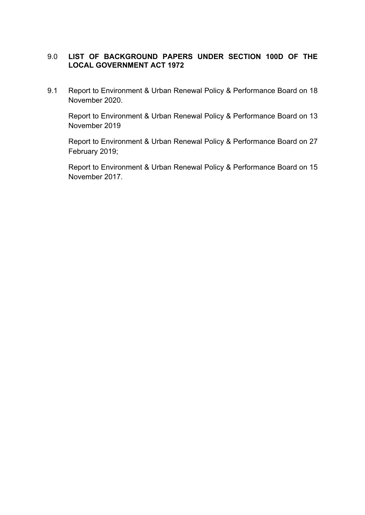# 9.0 **LIST OF BACKGROUND PAPERS UNDER SECTION 100D OF THE LOCAL GOVERNMENT ACT 1972**

9.1 Report to Environment & Urban Renewal Policy & Performance Board on 18 November 2020.

Report to Environment & Urban Renewal Policy & Performance Board on 13 November 2019

Report to Environment & Urban Renewal Policy & Performance Board on 27 February 2019;

Report to Environment & Urban Renewal Policy & Performance Board on 15 November 2017.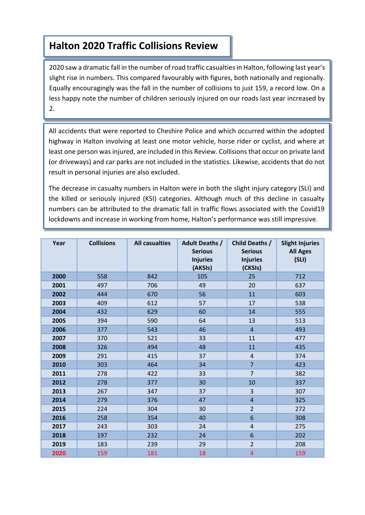# **Appendix A Halton 2020 Traffic Collisions Review**

2020 saw a dramatic fall in the number of road traffic casualties in Halton, following last year's slight rise in numbers. This compared favourably with figures, both nationally and regionally. Equally encouragingly was the fall in the number of collisions to just 159, a record low. On a less happy note the number of children seriously injured on our roads last year increased by 2.

All accidents that were reported to Cheshire Police and which occurred within the adopted highway in Halton involving at least one motor vehicle, horse rider or cyclist, and where at least one person was injured, are included in this Review. Collisions that occur on private land (or driveways) and car parks are not included in the statistics. Likewise, accidents that do not result in personal injuries are also excluded.

**Lockdowns and increase in working from home, Halton's performance was still impressive.** The decrease in casualty numbers in Halton were in both the slight injury category (SLI) and the killed or seriously injured (KSI) categories. Although much of this decline in casualty numbers can be attributed to the dramatic fall in traffic flows associated with the Covid19

| Year | <b>Collisions</b> | <b>All casualties</b> | <b>Adult Deaths /</b><br><b>Serious</b><br><b>Injuries</b><br>(AKSIs) | <b>Child Deaths /</b><br><b>Serious</b><br><b>Injuries</b><br>(CKSIs) | <b>Slight Injuries</b><br><b>All Ages</b><br>(SLI) |
|------|-------------------|-----------------------|-----------------------------------------------------------------------|-----------------------------------------------------------------------|----------------------------------------------------|
| 2000 | 558               | 842                   | 105                                                                   | 25                                                                    | 712                                                |
| 2001 | 497               | 706                   | 49                                                                    | 20                                                                    | 637                                                |
| 2002 | 444               | 670                   | 56                                                                    | 11                                                                    | 603                                                |
| 2003 | 409               | 612                   | 57                                                                    | 17                                                                    | 538                                                |
| 2004 | 432               | 629                   | 60                                                                    | 14                                                                    | 555                                                |
| 2005 | 394               | 590                   | 64                                                                    | 13                                                                    | 513                                                |
| 2006 | 377               | 543                   | 46                                                                    | $\overline{4}$                                                        | 493                                                |
| 2007 | 370               | 521                   | 33                                                                    | 11                                                                    | 477                                                |
| 2008 | 326               | 494                   | 48                                                                    | 11                                                                    | 435                                                |
| 2009 | 291               | 415                   | 37                                                                    | 4                                                                     | 374                                                |
| 2010 | 303               | 464                   | 34                                                                    | $\overline{7}$                                                        | 423                                                |
| 2011 | 278               | 422                   | 33                                                                    | $\overline{7}$                                                        | 382                                                |
| 2012 | 278               | 377                   | 30                                                                    | 10                                                                    | 337                                                |
| 2013 | 267               | 347                   | 37                                                                    | 3                                                                     | 307                                                |
| 2014 | 279               | 376                   | 47                                                                    | $\overline{4}$                                                        | 325                                                |
| 2015 | 224               | 304                   | 30                                                                    | $\overline{2}$                                                        | 272                                                |
| 2016 | 258               | 354                   | 40                                                                    | 6                                                                     | 308                                                |
| 2017 | 243               | 303                   | 24                                                                    | $\overline{4}$                                                        | 275                                                |
| 2018 | 197               | 232                   | 24                                                                    | 6                                                                     | 202                                                |
| 2019 | 183               | 239                   | 29                                                                    | $\overline{2}$                                                        | 208                                                |
| 2020 | 159               | 181                   | 18                                                                    | $\overline{4}$                                                        | 159                                                |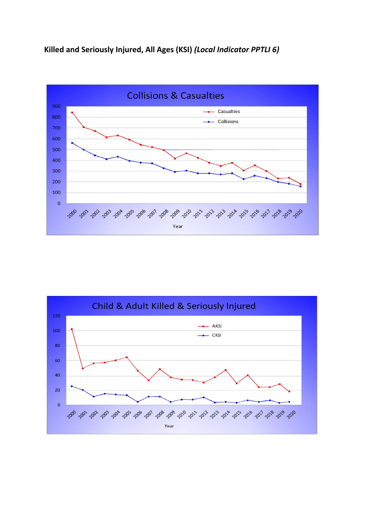**Killed and Seriously Injured, All Ages (KSI)** *(Local Indicator PPTLI 6)*



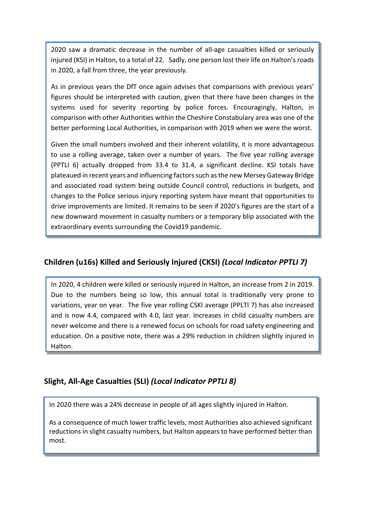2020 saw a dramatic decrease in the number of all-age casualties killed or seriously injured (KSI) in Halton, to a total of 22. Sadly, one person lost their life on Halton's roads in 2020, a fall from three, the year previously.

As in previous years the DfT once again advises that comparisons with previous years' figures should be interpreted with caution, given that there have been changes in the systems used for severity reporting by police forces. Encouragingly, Halton, in comparison with other Authorities within the Cheshire Constabulary area was one of the better performing Local Authorities, in comparison with 2019 when we were the worst.

Given the small numbers involved and their inherent volatility, it is more advantageous to use a rolling average, taken over a number of years. The five year rolling average (PPTLI 6) actually dropped from 33.4 to 31.4, a significant decline. KSI totals have plateaued in recent years and influencing factorssuch asthe new Mersey Gateway Bridge and associated road system being outside Council control, reductions in budgets, and changes to the Police serious injury reporting system have meant that opportunities to drive improvements are limited. It remains to be seen if 2020's figures are the start of a new downward movement in casualty numbers or a temporary blip associated with the extraordinary events surrounding the Covid19 pandemic.

# **Children (u16s) Killed and Seriously Injured (CKSI)** *(Local Indicator PPTLI 7)*

In 2020, 4 children were killed or seriously injured in Halton, an increase from 2 in 2019. Due to the numbers being so low, this annual total is traditionally very prone to variations, year on year. The five year rolling CSKI average (PPLTI 7) has also increased and is now 4.4, compared with 4.0, last year. Increases in child casualty numbers are never welcome and there is a renewed focus on schools for road safety engineering and education. On a positive note, there was a 29% reduction in children slightly injured in Halton.

# **Slight, All-Age Casualties (SLI)** *(Local Indicator PPTLI 8)*

**Strategic Framework for Road Safety**

In 2020 there was a 24% decrease in people of all ages slightly injured in Halton.

As a consequence of much lower traffic levels, most Authorities also achieved significant reductions in slight casualty numbers, but Halton appears to have performed better than most.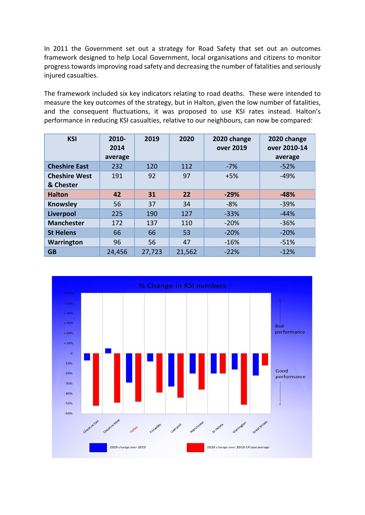In 2011 the Government set out a strategy for Road Safety that set out an outcomes framework designed to help Local Government, local organisations and citizens to monitor progress towards improving road safety and decreasing the number of fatalities and seriously injured casualties.

The framework included six key indicators relating to road deaths. These were intended to measure the key outcomes of the strategy, but in Halton, given the low number of fatalities, and the consequent fluctuations, it was proposed to use KSI rates instead. Halton's performance in reducing KSI casualties, relative to our neighbours, can now be compared:

| <b>KSI</b>                        | 2010-<br>2014<br>average | 2019   | 2020   | 2020 change<br>over 2019 | 2020 change<br>over 2010-14<br>average |
|-----------------------------------|--------------------------|--------|--------|--------------------------|----------------------------------------|
| <b>Cheshire East</b>              | 232                      | 120    | 112    | $-7%$                    | $-52%$                                 |
| <b>Cheshire West</b><br>& Chester | 191                      | 92     | 97     | $+5%$                    | $-49%$                                 |
| <b>Halton</b>                     | 42                       | 31     | 22     | $-29%$                   | $-48%$                                 |
| <b>Knowsley</b>                   | 56                       | 37     | 34     | $-8%$                    | $-39%$                                 |
| Liverpool                         | 225                      | 190    | 127    | $-33%$                   | $-44%$                                 |
| <b>Manchester</b>                 | 172                      | 137    | 110    | $-20%$                   | $-36%$                                 |
| <b>St Helens</b>                  | 66                       | 66     | 53     | $-20%$                   | $-20%$                                 |
| <b>Warrington</b>                 | 96                       | 56     | 47     | $-16%$                   | $-51%$                                 |
| <b>GB</b>                         | 24,456                   | 27,723 | 21,562 | $-22%$                   | $-12%$                                 |

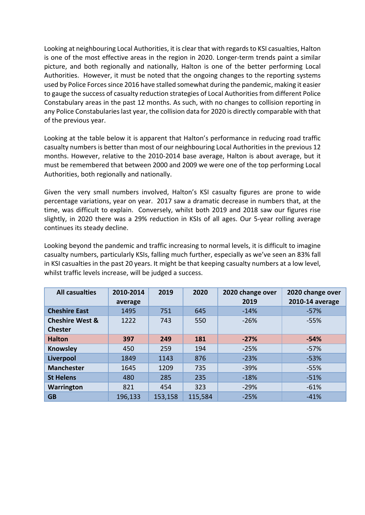Looking at neighbouring Local Authorities, it is clear that with regards to KSI casualties, Halton is one of the most effective areas in the region in 2020. Longer-term trends paint a similar picture, and both regionally and nationally, Halton is one of the better performing Local Authorities. However, it must be noted that the ongoing changes to the reporting systems used by Police Forces since 2016 have stalled somewhat during the pandemic, making it easier to gauge the success of casualty reduction strategies of Local Authorities from different Police Constabulary areas in the past 12 months. As such, with no changes to collision reporting in any Police Constabularies last year, the collision data for 2020 is directly comparable with that of the previous year.

Looking at the table below it is apparent that Halton's performance in reducing road traffic casualty numbers is better than most of our neighbouring Local Authorities in the previous 12 months. However, relative to the 2010-2014 base average, Halton is about average, but it must be remembered that between 2000 and 2009 we were one of the top performing Local Authorities, both regionally and nationally.

Given the very small numbers involved, Halton's KSI casualty figures are prone to wide percentage variations, year on year. 2017 saw a dramatic decrease in numbers that, at the time, was difficult to explain. Conversely, whilst both 2019 and 2018 saw our figures rise slightly, in 2020 there was a 29% reduction in KSIs of all ages. Our 5-year rolling average continues its steady decline.

Looking beyond the pandemic and traffic increasing to normal levels, it is difficult to imagine casualty numbers, particularly KSIs, falling much further, especially as we've seen an 83% fall in KSI casualties in the past 20 years. It might be that keeping casualty numbers at a low level, whilst traffic levels increase, will be judged a success.

| <b>All casualties</b>                        | 2010-2014<br>average | 2019    | 2020    | 2020 change over<br>2019 | 2020 change over<br>2010-14 average |
|----------------------------------------------|----------------------|---------|---------|--------------------------|-------------------------------------|
| <b>Cheshire East</b>                         | 1495                 | 751     | 645     | $-14%$                   | $-57%$                              |
| <b>Cheshire West &amp;</b><br><b>Chester</b> | 1222                 | 743     | 550     | $-26%$                   | $-55%$                              |
| <b>Halton</b>                                | 397                  | 249     | 181     | $-27%$                   | $-54%$                              |
| <b>Knowsley</b>                              | 450                  | 259     | 194     | $-25%$                   | $-57%$                              |
| Liverpool                                    | 1849                 | 1143    | 876     | $-23%$                   | $-53%$                              |
| <b>Manchester</b>                            | 1645                 | 1209    | 735     | $-39%$                   | $-55%$                              |
| <b>St Helens</b>                             | 480                  | 285     | 235     | $-18%$                   | $-51%$                              |
| <b>Warrington</b>                            | 821                  | 454     | 323     | $-29%$                   | $-61%$                              |
| <b>GB</b>                                    | 196,133              | 153,158 | 115,584 | $-25%$                   | $-41%$                              |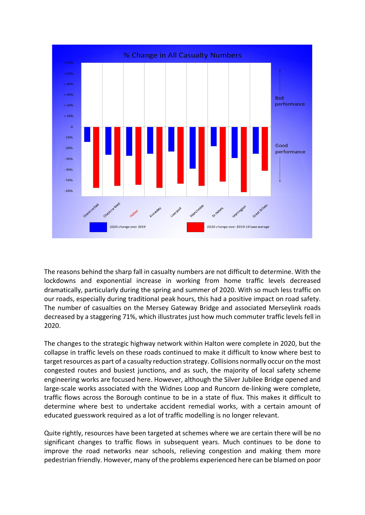

The reasons behind the sharp fall in casualty numbers are not difficult to determine. With the lockdowns and exponential increase in working from home traffic levels decreased dramatically, particularly during the spring and summer of 2020. With so much less traffic on our roads, especially during traditional peak hours, this had a positive impact on road safety. The number of casualties on the Mersey Gateway Bridge and associated Merseylink roads decreased by a staggering 71%, which illustrates just how much commuter traffic levels fell in 2020.

The changes to the strategic highway network within Halton were complete in 2020, but the collapse in traffic levels on these roads continued to make it difficult to know where best to target resources as part of a casualty reduction strategy. Collisions normally occur on the most congested routes and busiest junctions, and as such, the majority of local safety scheme engineering works are focused here. However, although the Silver Jubilee Bridge opened and large-scale works associated with the Widnes Loop and Runcorn de-linking were complete, traffic flows across the Borough continue to be in a state of flux. This makes it difficult to determine where best to undertake accident remedial works, with a certain amount of educated guesswork required as a lot of traffic modelling is no longer relevant.

Quite rightly, resources have been targeted at schemes where we are certain there will be no significant changes to traffic flows in subsequent years. Much continues to be done to improve the road networks near schools, relieving congestion and making them more pedestrian friendly. However, many of the problems experienced here can be blamed on poor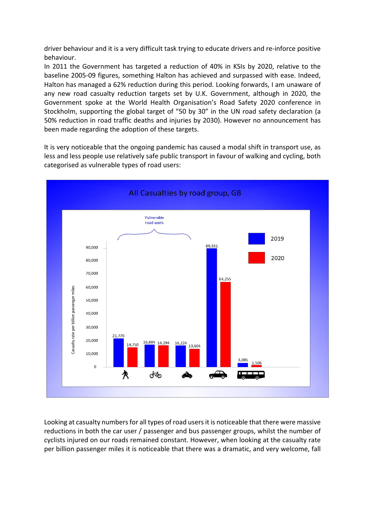driver behaviour and it is a very difficult task trying to educate drivers and re-inforce positive behaviour.

In 2011 the Government has targeted a reduction of 40% in KSIs by 2020, relative to the baseline 2005-09 figures, something Halton has achieved and surpassed with ease. Indeed, Halton has managed a 62% reduction during this period. Looking forwards, I am unaware of any new road casualty reduction targets set by U.K. Government, although in 2020, the Government spoke at the World Health Organisation's Road Safety 2020 conference in Stockholm, supporting the global target of "50 by 30" in the UN road safety declaration (a 50% reduction in road traffic deaths and injuries by 2030). However no announcement has been made regarding the adoption of these targets.

It is very noticeable that the ongoing pandemic has caused a modal shift in transport use, as less and less people use relatively safe public transport in favour of walking and cycling, both categorised as vulnerable types of road users:



Looking at casualty numbers for all types of road users it is noticeable that there were massive reductions in both the car user / passenger and bus passenger groups, whilst the number of cyclists injured on our roads remained constant. However, when looking at the casualty rate per billion passenger miles it is noticeable that there was a dramatic, and very welcome, fall